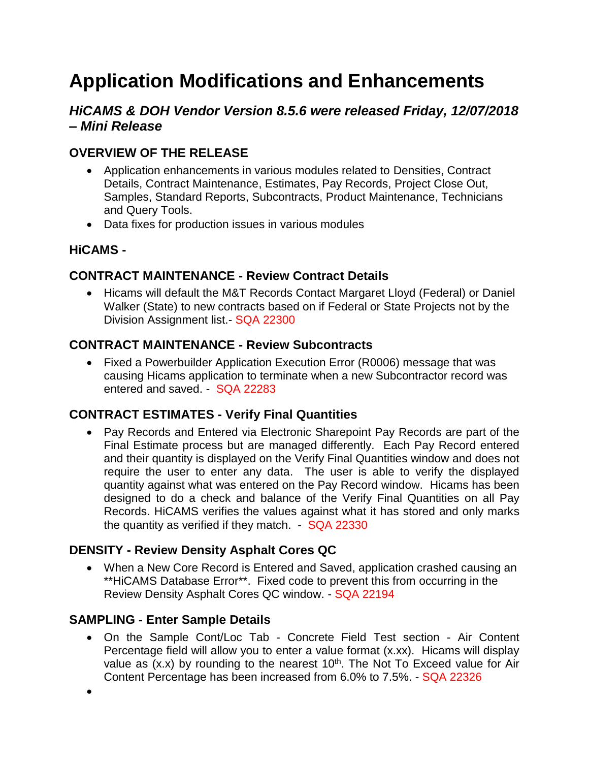# **Application Modifications and Enhancements**

# *HiCAMS & DOH Vendor Version 8.5.6 were released Friday, 12/07/2018 – Mini Release*

## **OVERVIEW OF THE RELEASE**

- Application enhancements in various modules related to Densities, Contract Details, Contract Maintenance, Estimates, Pay Records, Project Close Out, Samples, Standard Reports, Subcontracts, Product Maintenance, Technicians and Query Tools.
- Data fixes for production issues in various modules

## **HiCAMS -**

#### **CONTRACT MAINTENANCE - Review Contract Details**

• Hicams will default the M&T Records Contact Margaret Lloyd (Federal) or Daniel Walker (State) to new contracts based on if Federal or State Projects not by the Division Assignment list.- SQA 22300

## **CONTRACT MAINTENANCE - Review Subcontracts**

• Fixed a Powerbuilder Application Execution Error (R0006) message that was causing Hicams application to terminate when a new Subcontractor record was entered and saved. - SQA 22283

## **CONTRACT ESTIMATES - Verify Final Quantities**

• Pay Records and Entered via Electronic Sharepoint Pay Records are part of the Final Estimate process but are managed differently. Each Pay Record entered and their quantity is displayed on the Verify Final Quantities window and does not require the user to enter any data. The user is able to verify the displayed quantity against what was entered on the Pay Record window. Hicams has been designed to do a check and balance of the Verify Final Quantities on all Pay Records. HiCAMS verifies the values against what it has stored and only marks the quantity as verified if they match. - SQA 22330

#### **DENSITY - Review Density Asphalt Cores QC**

• When a New Core Record is Entered and Saved, application crashed causing an \*\*HiCAMS Database Error\*\*. Fixed code to prevent this from occurring in the Review Density Asphalt Cores QC window. - SQA 22194

## **SAMPLING - Enter Sample Details**

•

• On the Sample Cont/Loc Tab - Concrete Field Test section - Air Content Percentage field will allow you to enter a value format (x.xx). Hicams will display value as  $(x.x)$  by rounding to the nearest 10<sup>th</sup>. The Not To Exceed value for Air Content Percentage has been increased from 6.0% to 7.5%. - SQA 22326